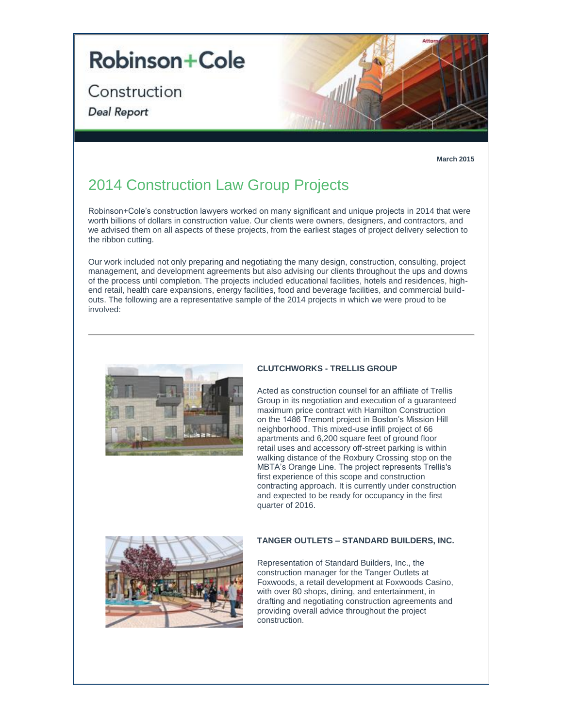# **Robinson+Cole**

Construction

Deal Report



**March 2015**

## 2014 Construction Law Group Projects

Robinson+Cole's construction lawyers worked on many significant and unique projects in 2014 that were worth billions of dollars in construction value. Our clients were owners, designers, and contractors, and we advised them on all aspects of these projects, from the earliest stages of project delivery selection to the ribbon cutting.

Our work included not only preparing and negotiating the many design, construction, consulting, project management, and development agreements but also advising our clients throughout the ups and downs of the process until completion. The projects included educational facilities, hotels and residences, highend retail, health care expansions, energy facilities, food and beverage facilities, and commercial buildouts. The following are a representative sample of the 2014 projects in which we were proud to be involved:



### **CLUTCHWORKS - TRELLIS GROUP**

Acted as construction counsel for an affiliate of Trellis Group in its negotiation and execution of a guaranteed maximum price contract with Hamilton Construction on the 1486 Tremont project in Boston's Mission Hill neighborhood. This mixed-use infill project of 66 apartments and 6,200 square feet of ground floor retail uses and accessory off-street parking is within walking distance of the Roxbury Crossing stop on the MBTA's Orange Line. The project represents Trellis's first experience of this scope and construction contracting approach. It is currently under construction and expected to be ready for occupancy in the first quarter of 2016.



#### **TANGER OUTLETS – STANDARD BUILDERS, INC.**

Representation of Standard Builders, Inc., the construction manager for the Tanger Outlets at Foxwoods, a retail development at Foxwoods Casino, with over 80 shops, dining, and entertainment, in drafting and negotiating construction agreements and providing overall advice throughout the project construction.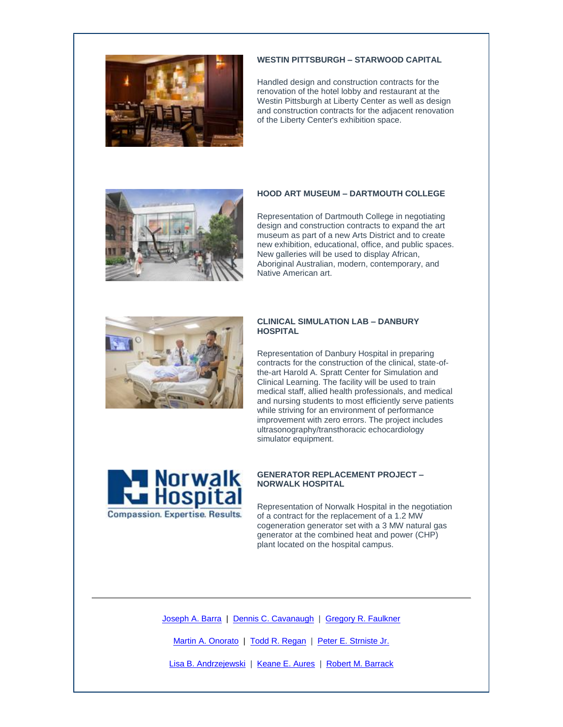

#### **WESTIN PITTSBURGH – STARWOOD CAPITAL**

Handled design and construction contracts for the renovation of the hotel lobby and restaurant at the Westin Pittsburgh at Liberty Center as well as design and construction contracts for the adjacent renovation of the Liberty Center's exhibition space.



#### **HOOD ART MUSEUM – DARTMOUTH COLLEGE**

Representation of Dartmouth College in negotiating design and construction contracts to expand the art museum as part of a new Arts District and to create new exhibition, educational, office, and public spaces. New galleries will be used to display African, Aboriginal Australian, modern, contemporary, and Native American art.



#### **CLINICAL SIMULATION LAB – DANBURY HOSPITAL**

Representation of Danbury Hospital in preparing contracts for the construction of the clinical, state-ofthe-art Harold A. Spratt Center for Simulation and Clinical Learning. The facility will be used to train medical staff, allied health professionals, and medical and nursing students to most efficiently serve patients while striving for an environment of performance improvement with zero errors. The project includes ultrasonography/transthoracic echocardiology simulator equipment.



#### **GENERATOR REPLACEMENT PROJECT – NORWALK HOSPITAL**

Representation of Norwalk Hospital in the negotiation of a contract for the replacement of a 1.2 MW cogeneration generator set with a 3 MW natural gas generator at the combined heat and power (CHP) plant located on the hospital campus.

[Joseph A. Barra](http://t2806904.omkt.co/track.aspx?id=402|2AD478|6F10|19C|9AD|0|9EB|1|480FE7BD&destination=http%3a%2f%2fwww.rc.com%2fpeople%2fJosephABarra.cfm%3futm_source%3dVocus%26utm_medium%3demail%26utm_campaign%3dRobinson%2b%2526%2bCole%2bLLP%26utm_content%3dLLCN%2b2014%2bDeal%2bReport&dchk=40D51EE4) | [Dennis C. Cavanaugh](http://t2806904.omkt.co/track.aspx?id=402|2AD478|6F10|19C|9AD|0|9EC|1|480FE7BD&destination=http%3a%2f%2fwww.rc.com%2fpeople%2fDennisCCavanaugh.cfm%3futm_source%3dVocus%26utm_medium%3demail%26utm_campaign%3dRobinson%2b%2526%2bCole%2bLLP%26utm_content%3dLLCN%2b2014%2bDeal%2bReport&dchk=702FC23D) | [Gregory R. Faulkner](http://t2806904.omkt.co/track.aspx?id=402|2AD478|6F10|19C|9AD|0|9ED|1|480FE7BD&destination=http%3a%2f%2fwww.rc.com%2fpeople%2fGregoryRFaulkner.cfm%3futm_source%3dVocus%26utm_medium%3demail%26utm_campaign%3dRobinson%2b%2526%2bCole%2bLLP%26utm_content%3dLLCN%2b2014%2bDeal%2bReport&dchk=113CC7EF)

[Martin A. Onorato](http://t2806904.omkt.co/track.aspx?id=402|2AD478|6F10|19C|9AD|0|9EE|1|480FE7BD&destination=http%3a%2f%2fwww.rc.com%2fpeople%2fMartinAOnorato.cfm%3futm_source%3dVocus%26utm_medium%3demail%26utm_campaign%3dRobinson%2b%2526%2bCole%2bLLP%26utm_content%3dLLCN%2b2014%2bDeal%2bReport&dchk=5BFFCE0E) | [Todd R. Regan](http://t2806904.omkt.co/track.aspx?id=402|2AD478|6F10|19C|9AD|0|9EF|1|480FE7BD&destination=http%3a%2f%2fwww.rc.com%2fpeople%2fToddRRegan.cfm%3futm_source%3dVocus%26utm_medium%3demail%26utm_campaign%3dRobinson%2b%2526%2bCole%2bLLP%26utm_content%3dLLCN%2b2014%2bDeal%2bReport&dchk=53FDEE26) | [Peter E. Strniste Jr.](http://t2806904.omkt.co/track.aspx?id=402|2AD478|6F10|19C|9AD|0|9F0|1|480FE7BD&destination=http%3a%2f%2fwww.rc.com%2fpeople%2fPeterEStrnisteJr.cfm%3futm_source%3dVocus%26utm_medium%3demail%26utm_campaign%3dRobinson%2b%2526%2bCole%2bLLP%26utm_content%3dLLCN%2b2014%2bDeal%2bReport&dchk=36C7316A)

[Lisa B. Andrzejewski](http://t2806904.omkt.co/track.aspx?id=402|2AD478|6F10|19C|9AD|0|9F1|1|480FE7BD&destination=http%3a%2f%2fwww.rc.com%2fpeople%2fLisaBAndrzejewski.cfm%3futm_source%3dVocus%26utm_medium%3demail%26utm_campaign%3dRobinson%2b%2526%2bCole%2bLLP%26utm_content%3dLLCN%2b2014%2bDeal%2bReport&dchk=2108A554) | [Keane E. Aures](http://t2806904.omkt.co/track.aspx?id=402|2AD478|6F10|19C|9AD|0|9F2|1|480FE7BD&destination=http%3a%2f%2fwww.rc.com%2fpeople%2fKeaneEAures.cfm%3futm_source%3dVocus%26utm_medium%3demail%26utm_campaign%3dRobinson%2b%2526%2bCole%2bLLP%26utm_content%3dLLCN%2b2014%2bDeal%2bReport&dchk=110853A7) | [Robert M. Barrack](http://t2806904.omkt.co/track.aspx?id=402|2AD478|6F10|19C|9AD|0|9F3|1|480FE7BD&destination=http%3a%2f%2fwww.rc.com%2fpeople%2fRobertMBarrack.cfm%3futm_source%3dVocus%26utm_medium%3demail%26utm_campaign%3dRobinson%2b%2526%2bCole%2bLLP%26utm_content%3dLLCN%2b2014%2bDeal%2bReport&dchk=6B0B4E65)